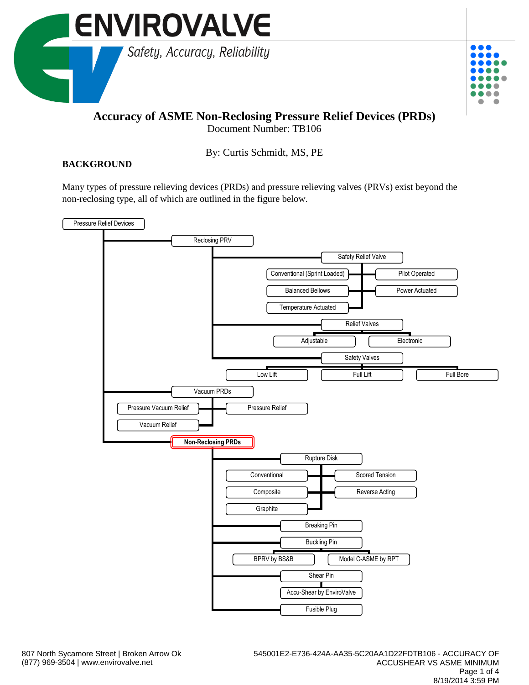



## **Accuracy of ASME Non-Reclosing Pressure Relief Devices (PRDs)**

Document Number: TB106

By: Curtis Schmidt, MS, PE

## **BACKGROUND**

Many types of pressure relieving devices (PRDs) and pressure relieving valves (PRVs) exist beyond the non-reclosing type, all of which are outlined in the figure below.

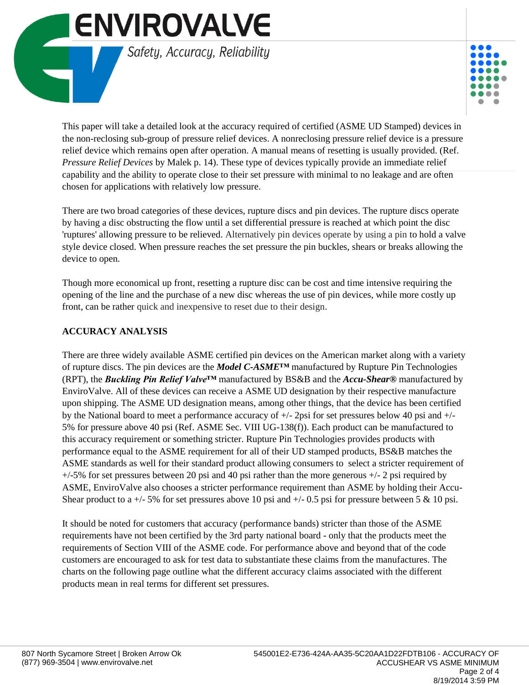



This paper will take a detailed look at the accuracy required of certified (ASME UD Stamped) devices in the non-reclosing sub-group of pressure relief devices. A nonreclosing pressure relief device is a pressure relief device which remains open after operation. A manual means of resetting is usually provided. (Ref. *Pressure Relief Devices* by Malek p. 14). These type of devices typically provide an immediate relief capability and the ability to operate close to their set pressure with minimal to no leakage and are often chosen for applications with relatively low pressure.

There are two broad categories of these devices, rupture discs and pin devices. The rupture discs operate by having a disc obstructing the flow until a set differential pressure is reached at which point the disc 'ruptures' allowing pressure to be relieved. Alternatively pin devices operate by using a pin to hold a valve style device closed. When pressure reaches the set pressure the pin buckles, shears or breaks allowing the device to open.

Though more economical up front, resetting a rupture disc can be cost and time intensive requiring the opening of the line and the purchase of a new disc whereas the use of pin devices, while more costly up front, can be rather quick and inexpensive to reset due to their design.

## **ACCURACY ANALYSIS**

There are three widely available ASME certified pin devices on the American market along with a variety of rupture discs. The pin devices are the *Model C-ASME™* manufactured by Rupture Pin Technologies (RPT), the *Buckling Pin Relief Valve™* manufactured by BS&B and the *Accu-Shear®* manufactured by EnviroValve. All of these devices can receive a ASME UD designation by their respective manufacture upon shipping. The ASME UD designation means, among other things, that the device has been certified by the National board to meet a performance accuracy of +/- 2psi for set pressures below 40 psi and +/- 5% for pressure above 40 psi (Ref. ASME Sec. VIII UG-138(f)). Each product can be manufactured to this accuracy requirement or something stricter. Rupture Pin Technologies provides products with performance equal to the ASME requirement for all of their UD stamped products, BS&B matches the ASME standards as well for their standard product allowing consumers to select a stricter requirement of  $+/-5\%$  for set pressures between 20 psi and 40 psi rather than the more generous  $+/-2$  psi required by ASME, EnviroValve also chooses a stricter performance requirement than ASME by holding their Accu-Shear product to a  $+/-5\%$  for set pressures above 10 psi and  $+/-0.5$  psi for pressure between 5 & 10 psi.

It should be noted for customers that accuracy (performance bands) stricter than those of the ASME requirements have not been certified by the 3rd party national board - only that the products meet the requirements of Section VIII of the ASME code. For performance above and beyond that of the code customers are encouraged to ask for test data to substantiate these claims from the manufactures. The charts on the following page outline what the different accuracy claims associated with the different products mean in real terms for different set pressures.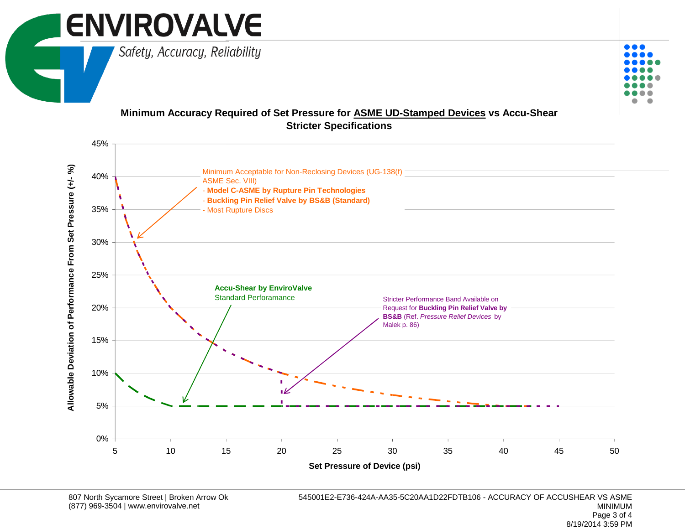

## **Minimum Accuracy Required of Set Pressure for ASME UD-Stamped Devices vs Accu-Shear Stricter Specifications**



 $\bullet\bullet\bullet$